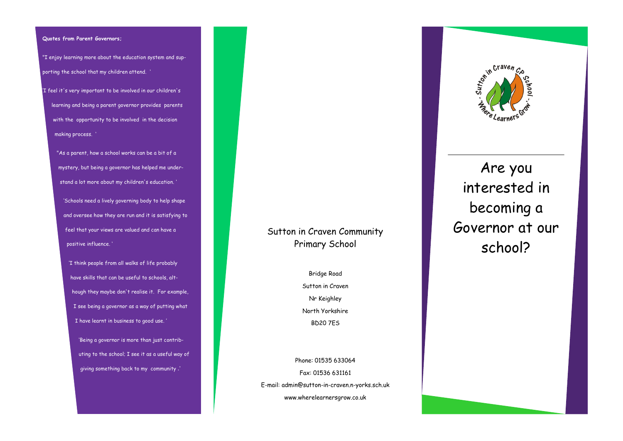#### **Quotes from Parent Governors;**

"I enjoy learning more about the education system and supporting the school that my children attend. '

'I feel it's very important to be involved in our children's learning and being a parent governor provides parents with the opportunity to be involved in the decision making process. '

> "As a parent, how a school works can be a bit of a mystery, but being a governor has helped me understand a lot more about my children's education. '

'Schools need a lively governing body to help shape and oversee how they are run and it is satisfying to feel that your views are valued and can have a positive influence. '

'I think people from all walks of life probably have skills that can be useful to schools, although they maybe don't realise it. For example, I see being a governor as a way of putting what I have learnt in business to good use. '

'Being a governor is more than just contributing to the school; I see it as a useful way of giving something back to my community .'

# Sutton in Craven Community Primary School

Bridge Road Sutton in Craven Nr Keighley North Yorkshire BD20 7ES

Phone: 01535 633064 Fax: 01536 631161 E-mail: admin@sutton-in-craven.n-yorks.sch.uk www.wherelearnersgrow.co.uk



Are you interested in becoming a Governor at our school?